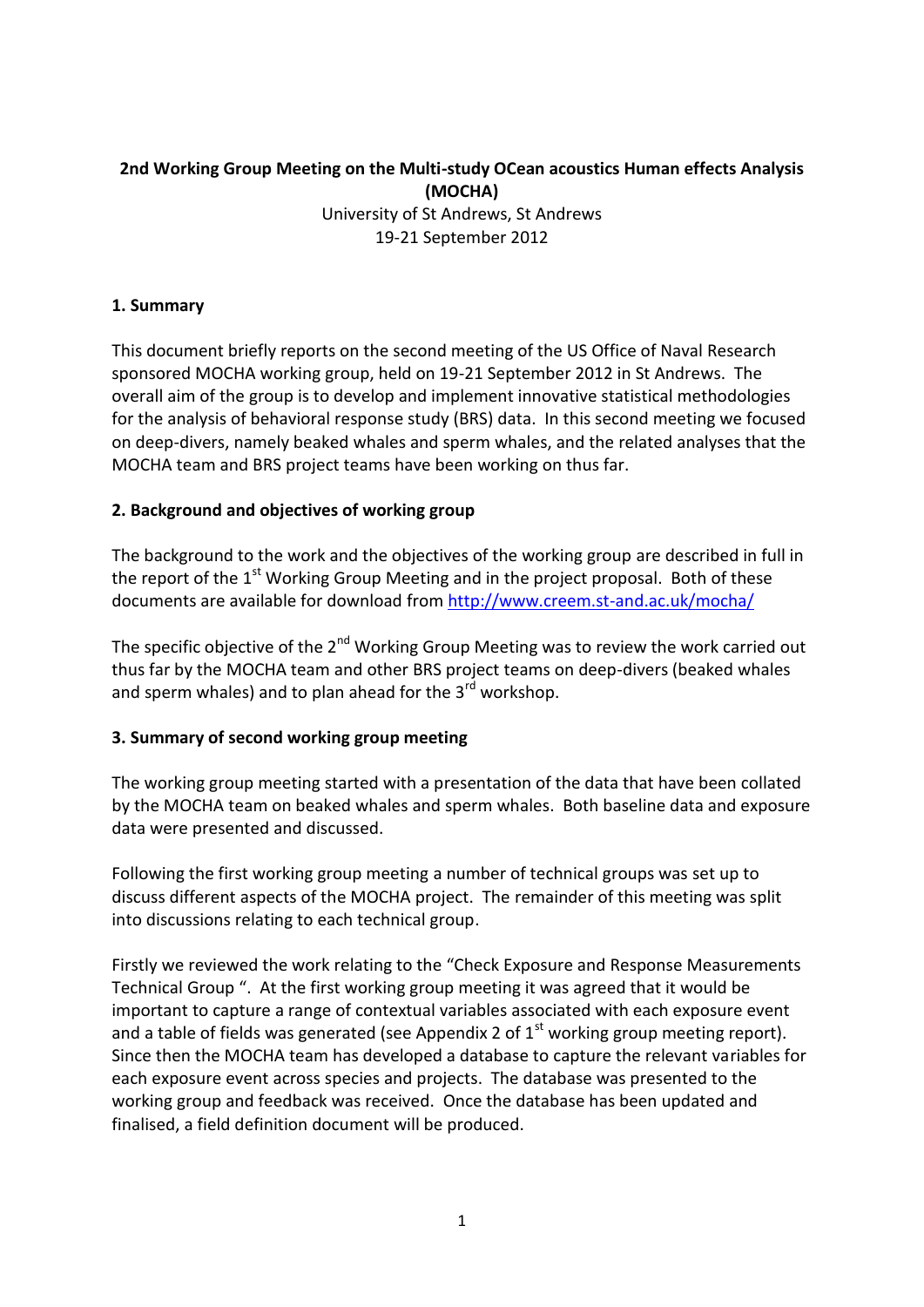# **2nd Working Group Meeting on the Multi-study OCean acoustics Human effects Analysis (MOCHA)**

University of St Andrews, St Andrews 19-21 September 2012

### **1. Summary**

This document briefly reports on the second meeting of the US Office of Naval Research sponsored MOCHA working group, held on 19-21 September 2012 in St Andrews. The overall aim of the group is to develop and implement innovative statistical methodologies for the analysis of behavioral response study (BRS) data. In this second meeting we focused on deep-divers, namely beaked whales and sperm whales, and the related analyses that the MOCHA team and BRS project teams have been working on thus far.

#### **2. Background and objectives of working group**

The background to the work and the objectives of the working group are described in full in the report of the  $1<sup>st</sup>$  Working Group Meeting and in the project proposal. Both of these documents are available for download from<http://www.creem.st-and.ac.uk/mocha/>

The specific objective of the  $2^{nd}$  Working Group Meeting was to review the work carried out thus far by the MOCHA team and other BRS project teams on deep-divers (beaked whales and sperm whales) and to plan ahead for the  $3<sup>rd</sup>$  workshop.

#### **3. Summary of second working group meeting**

The working group meeting started with a presentation of the data that have been collated by the MOCHA team on beaked whales and sperm whales. Both baseline data and exposure data were presented and discussed.

Following the first working group meeting a number of technical groups was set up to discuss different aspects of the MOCHA project. The remainder of this meeting was split into discussions relating to each technical group.

Firstly we reviewed the work relating to the "Check Exposure and Response Measurements Technical Group ". At the first working group meeting it was agreed that it would be important to capture a range of contextual variables associated with each exposure event and a table of fields was generated (see Appendix 2 of  $1<sup>st</sup>$  working group meeting report). Since then the MOCHA team has developed a database to capture the relevant variables for each exposure event across species and projects. The database was presented to the working group and feedback was received. Once the database has been updated and finalised, a field definition document will be produced.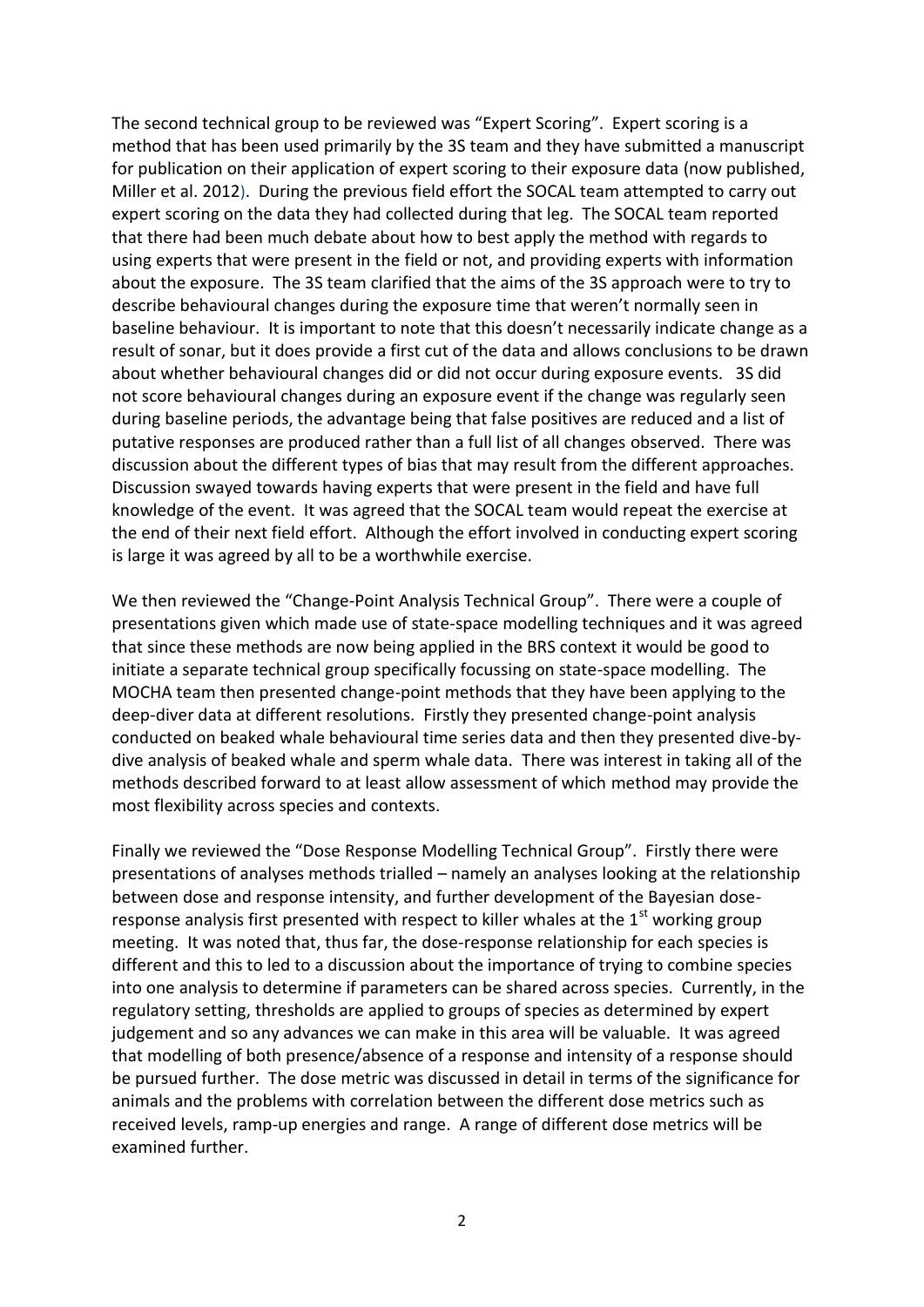The second technical group to be reviewed was "Expert Scoring". Expert scoring is a method that has been used primarily by the 3S team and they have submitted a manuscript for publication on their application of expert scoring to their exposure data (now published, Miller et al. 2012). During the previous field effort the SOCAL team attempted to carry out expert scoring on the data they had collected during that leg. The SOCAL team reported that there had been much debate about how to best apply the method with regards to using experts that were present in the field or not, and providing experts with information about the exposure. The 3S team clarified that the aims of the 3S approach were to try to describe behavioural changes during the exposure time that weren't normally seen in baseline behaviour. It is important to note that this doesn't necessarily indicate change as a result of sonar, but it does provide a first cut of the data and allows conclusions to be drawn about whether behavioural changes did or did not occur during exposure events. 3S did not score behavioural changes during an exposure event if the change was regularly seen during baseline periods, the advantage being that false positives are reduced and a list of putative responses are produced rather than a full list of all changes observed. There was discussion about the different types of bias that may result from the different approaches. Discussion swayed towards having experts that were present in the field and have full knowledge of the event. It was agreed that the SOCAL team would repeat the exercise at the end of their next field effort. Although the effort involved in conducting expert scoring is large it was agreed by all to be a worthwhile exercise.

We then reviewed the "Change-Point Analysis Technical Group". There were a couple of presentations given which made use of state-space modelling techniques and it was agreed that since these methods are now being applied in the BRS context it would be good to initiate a separate technical group specifically focussing on state-space modelling. The MOCHA team then presented change-point methods that they have been applying to the deep-diver data at different resolutions. Firstly they presented change-point analysis conducted on beaked whale behavioural time series data and then they presented dive-bydive analysis of beaked whale and sperm whale data. There was interest in taking all of the methods described forward to at least allow assessment of which method may provide the most flexibility across species and contexts.

Finally we reviewed the "Dose Response Modelling Technical Group". Firstly there were presentations of analyses methods trialled – namely an analyses looking at the relationship between dose and response intensity, and further development of the Bayesian doseresponse analysis first presented with respect to killer whales at the  $1<sup>st</sup>$  working group meeting. It was noted that, thus far, the dose-response relationship for each species is different and this to led to a discussion about the importance of trying to combine species into one analysis to determine if parameters can be shared across species. Currently, in the regulatory setting, thresholds are applied to groups of species as determined by expert judgement and so any advances we can make in this area will be valuable. It was agreed that modelling of both presence/absence of a response and intensity of a response should be pursued further. The dose metric was discussed in detail in terms of the significance for animals and the problems with correlation between the different dose metrics such as received levels, ramp-up energies and range. A range of different dose metrics will be examined further.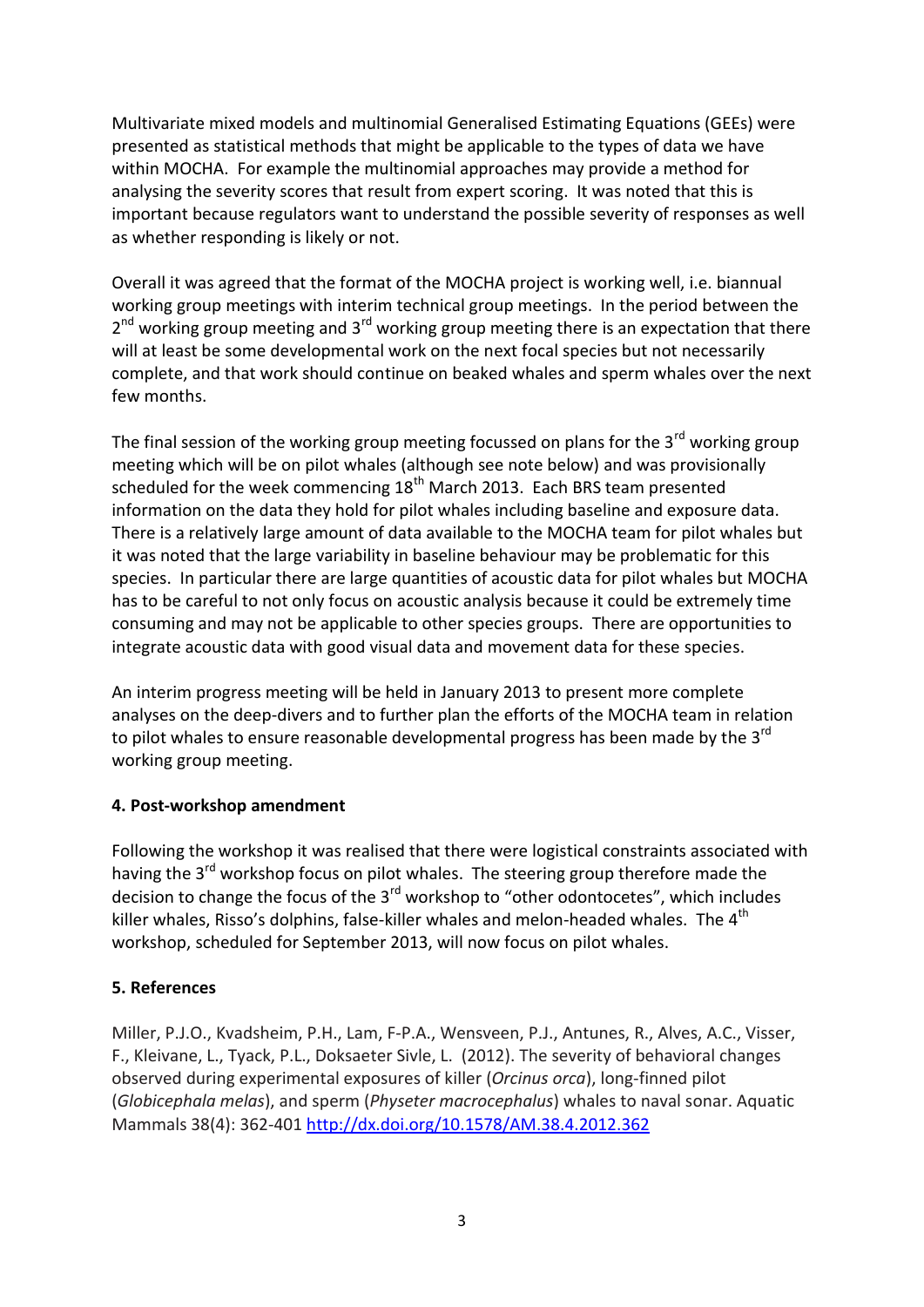Multivariate mixed models and multinomial Generalised Estimating Equations (GEEs) were presented as statistical methods that might be applicable to the types of data we have within MOCHA. For example the multinomial approaches may provide a method for analysing the severity scores that result from expert scoring. It was noted that this is important because regulators want to understand the possible severity of responses as well as whether responding is likely or not.

Overall it was agreed that the format of the MOCHA project is working well, i.e. biannual working group meetings with interim technical group meetings. In the period between the 2<sup>nd</sup> working group meeting and 3<sup>rd</sup> working group meeting there is an expectation that there will at least be some developmental work on the next focal species but not necessarily complete, and that work should continue on beaked whales and sperm whales over the next few months.

The final session of the working group meeting focussed on plans for the  $3<sup>rd</sup>$  working group meeting which will be on pilot whales (although see note below) and was provisionally scheduled for the week commencing  $18<sup>th</sup>$  March 2013. Each BRS team presented information on the data they hold for pilot whales including baseline and exposure data. There is a relatively large amount of data available to the MOCHA team for pilot whales but it was noted that the large variability in baseline behaviour may be problematic for this species. In particular there are large quantities of acoustic data for pilot whales but MOCHA has to be careful to not only focus on acoustic analysis because it could be extremely time consuming and may not be applicable to other species groups. There are opportunities to integrate acoustic data with good visual data and movement data for these species.

An interim progress meeting will be held in January 2013 to present more complete analyses on the deep-divers and to further plan the efforts of the MOCHA team in relation to pilot whales to ensure reasonable developmental progress has been made by the 3<sup>rd</sup> working group meeting.

#### **4. Post-workshop amendment**

Following the workshop it was realised that there were logistical constraints associated with having the 3<sup>rd</sup> workshop focus on pilot whales. The steering group therefore made the decision to change the focus of the 3<sup>rd</sup> workshop to "other odontocetes", which includes killer whales, Risso's dolphins, false-killer whales and melon-headed whales. The 4<sup>th</sup> workshop, scheduled for September 2013, will now focus on pilot whales.

#### **5. References**

Miller, P.J.O., Kvadsheim, P.H., Lam, F-P.A., Wensveen, P.J., Antunes, R., Alves, A.C., Visser, F., Kleivane, L., Tyack, P.L., Doksaeter Sivle, L. (2012). The severity of behavioral changes observed during experimental exposures of killer (*Orcinus orca*), long-finned pilot (*Globicephala melas*), and sperm (*Physeter macrocephalus*) whales to naval sonar. Aquatic Mammals 38(4): 362-401 <http://dx.doi.org/10.1578/AM.38.4.2012.362>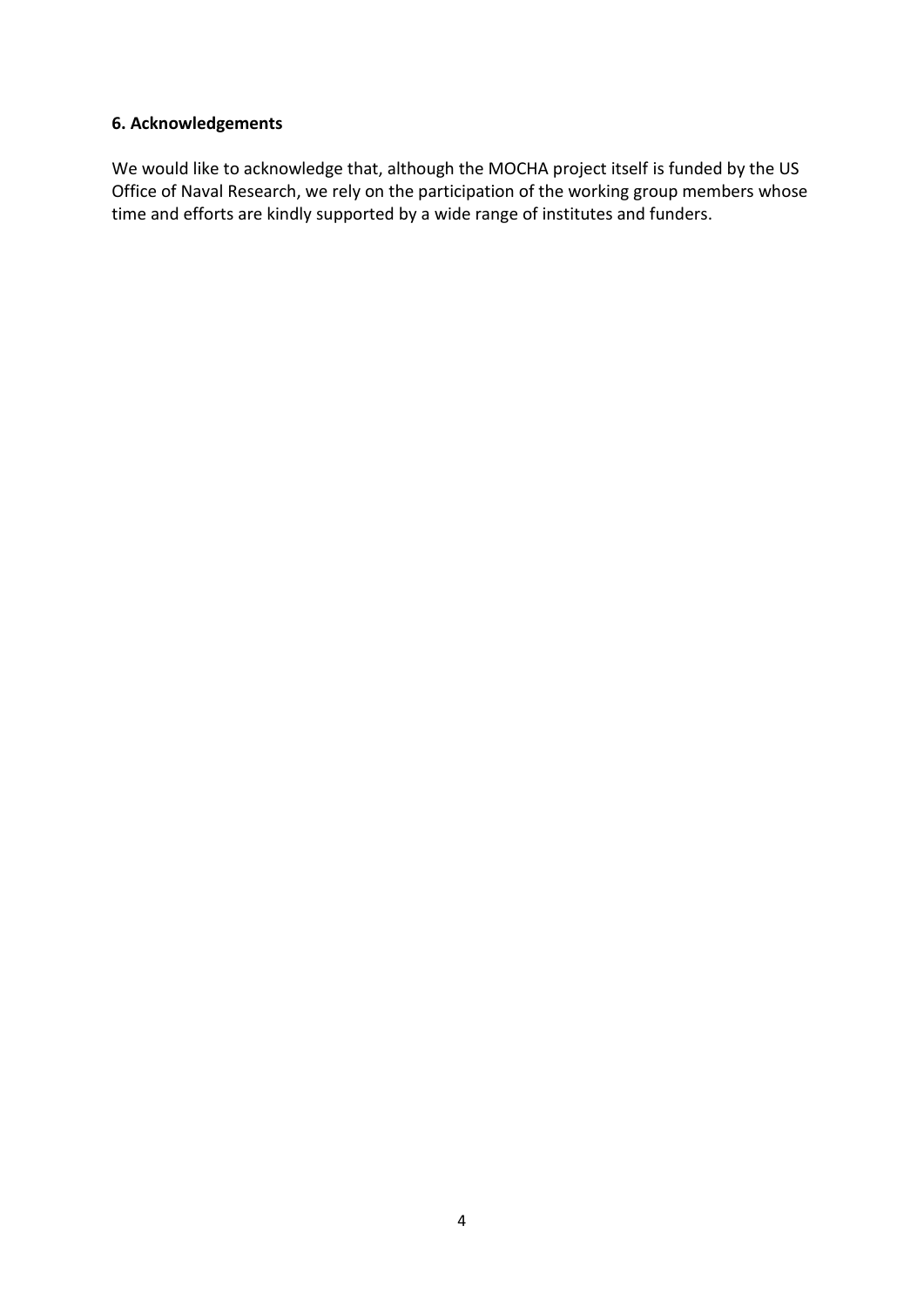### **6. Acknowledgements**

We would like to acknowledge that, although the MOCHA project itself is funded by the US Office of Naval Research, we rely on the participation of the working group members whose time and efforts are kindly supported by a wide range of institutes and funders.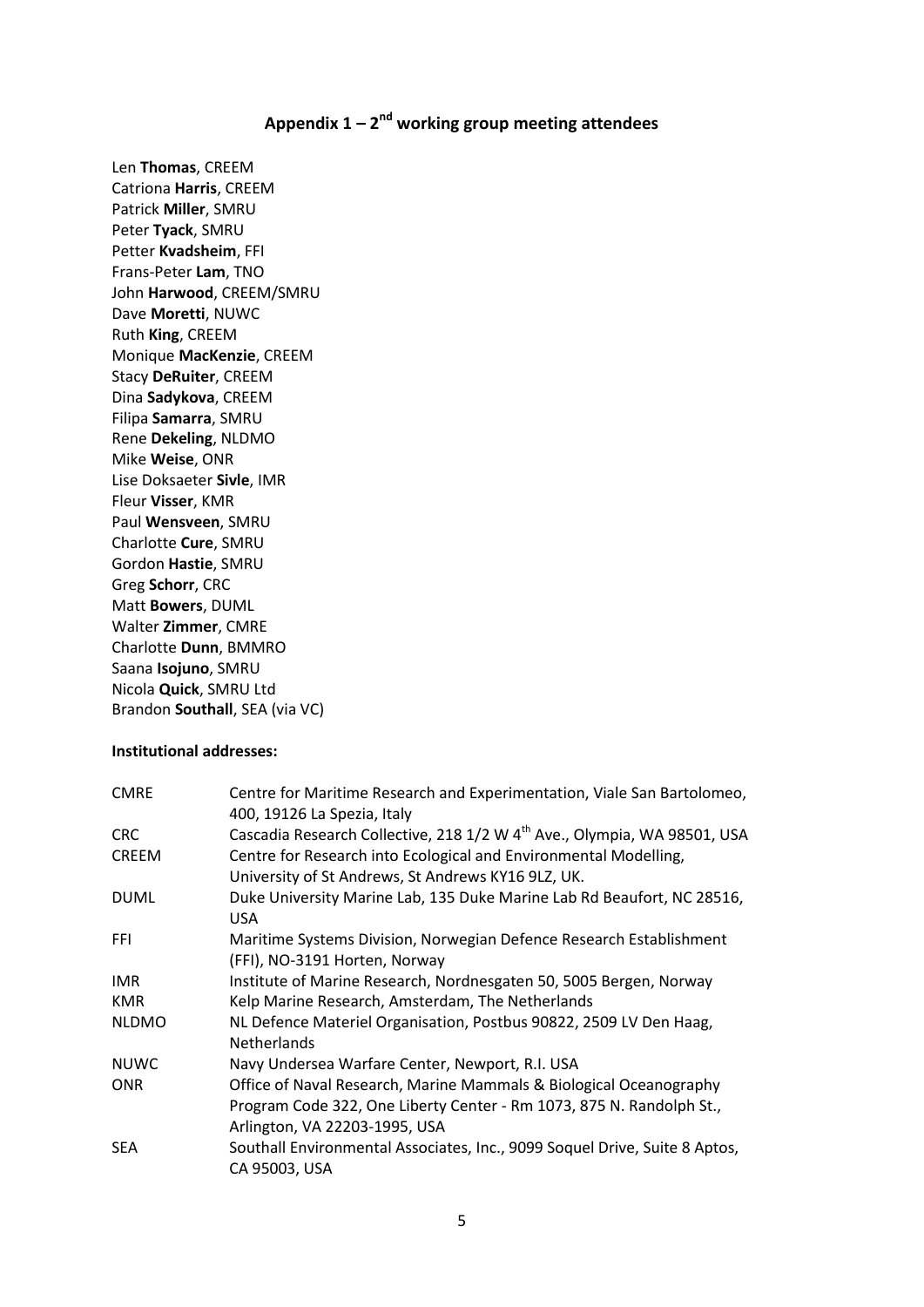## **Appendix 1 – 2 nd working group meeting attendees**

Len **Thomas**, CREEM Catriona **Harris**, CREEM Patrick **Miller**, SMRU Peter **Tyack**, SMRU Petter **Kvadsheim**, FFI Frans-Peter **Lam**, TNO John **Harwood**, CREEM/SMRU Dave **Moretti**, NUWC Ruth **King**, CREEM Monique **MacKenzie**, CREEM Stacy **DeRuiter**, CREEM Dina **Sadykova**, CREEM Filipa **Samarra**, SMRU Rene **Dekeling**, NLDMO Mike **Weise**, ONR Lise Doksaeter **Sivle**, IMR Fleur **Visser**, KMR Paul **Wensveen**, SMRU Charlotte **Cure**, SMRU Gordon **Hastie**, SMRU Greg **Schorr**, CRC Matt **Bowers**, DUML Walter **Zimmer**, CMRE Charlotte **Dunn**, BMMRO Saana **Isojuno**, SMRU Nicola **Quick**, SMRU Ltd Brandon **Southall**, SEA (via VC)

#### **Institutional addresses:**

| <b>CMRE</b>  | Centre for Maritime Research and Experimentation, Viale San Bartolomeo,<br>400, 19126 La Spezia, Italy |
|--------------|--------------------------------------------------------------------------------------------------------|
| <b>CRC</b>   | Cascadia Research Collective, 218 1/2 W 4 <sup>th</sup> Ave., Olympia, WA 98501, USA                   |
| <b>CREEM</b> | Centre for Research into Ecological and Environmental Modelling,                                       |
|              | University of St Andrews, St Andrews KY16 9LZ, UK.                                                     |
| <b>DUML</b>  | Duke University Marine Lab, 135 Duke Marine Lab Rd Beaufort, NC 28516,<br>USA.                         |
| <b>FFI</b>   | Maritime Systems Division, Norwegian Defence Research Establishment                                    |
|              | (FFI), NO-3191 Horten, Norway                                                                          |
| IMR.         | Institute of Marine Research, Nordnesgaten 50, 5005 Bergen, Norway                                     |
| <b>KMR</b>   | Kelp Marine Research, Amsterdam, The Netherlands                                                       |
| <b>NLDMO</b> | NL Defence Materiel Organisation, Postbus 90822, 2509 LV Den Haag,<br><b>Netherlands</b>               |
| <b>NUWC</b>  | Navy Undersea Warfare Center, Newport, R.I. USA                                                        |
| <b>ONR</b>   | Office of Naval Research, Marine Mammals & Biological Oceanography                                     |
|              | Program Code 322, One Liberty Center - Rm 1073, 875 N. Randolph St.,                                   |
|              | Arlington, VA 22203-1995, USA                                                                          |
| <b>SEA</b>   | Southall Environmental Associates, Inc., 9099 Soquel Drive, Suite 8 Aptos,<br>CA 95003, USA            |